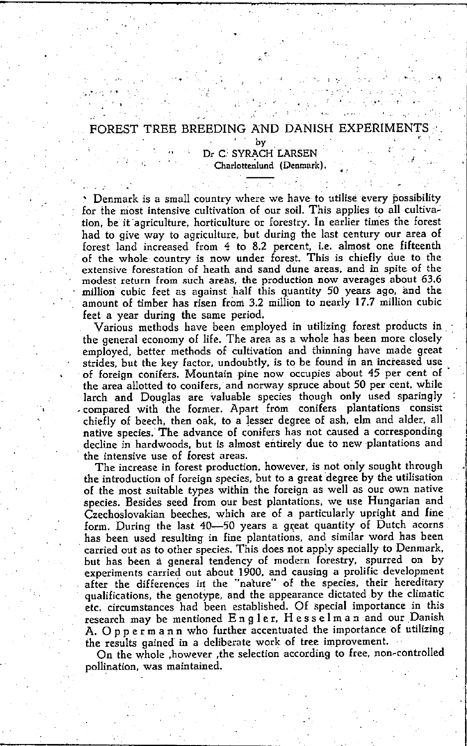## FOREST TREE BREEDING AND DANISH EXPERIMENT

· . , ,

hy Dr C SYRACH LARSEN Charlottenlund (Denmark).

Denmark is a small country where we have to utilise every possibility for the most intensive cultivation of our soil. This applies to all cultivation, be it agriculture, horticulture or forestry. In earlier times the forest had to give way to agriculture, but during the last century our area of forest land increased from 4 to 8.2 percent, i.e. almost one fifteenth of the whole country is now under forest. This is chiefly due to the extensive forestation of heath and sand dune areas, and in spite of the modest return from such areas, the production now averages about 63.6 million cubic feet as against half this quantity 50 years ago, and the amount of timber has risen from 3.2 million to nearly 17.7 million cubic feet a year during the same period.

Various methods have been employed in utilizing forest produets in the general economy of life. The area as a whole has been more cIoseIy employed, better methods of cultivation and thinning have made great strides, but the key factor, undoubtly, is to be found in an increased use of foreign conifers. Mountain pine now occupies about 45 per cent of the area allotted to conifers, and norway spruce about 50 per cent, while lareh and Douglas are valuable species though only used sparingly compared with the former. Apart from conifers plantations consist chiefly of beeeh, then oak, to alesser degree of ash, elm and alder, all native species. The advance of conifers has not caused a corresponding decline in hardwoods. but is almost entirely due to new plantations and , **the intensive use of Iorest areas.** 

The increase in forest production. however. is not only sought through tbe introduction of foreign species. but to a great degree by the utilisation *oE* the most suitable types within the Eoreign as weIl as our own native species. Besides seed from our best plantations. we use Hungarian and Czechoslovakian beeches. which are *oE* a particularly upright and fine form. During the last 40-50 years a great quantity of Dutch acorns. has been used resulting in fine plantations. and similar word has been carried out as to other species. This does not apply specially to Denmark, but has been à general tendeney of modern forestry. spurred on by experiments carried out about 1900. and eausing a prolific development after the differences in the "nature" of the species, their hereditary qualifications, the genotype, and the appearance dictated by the climatic etc. circumstances had been established. Of special importance in this research may be mentioned Engler. Hesselman and our Danish A. Oppermann who further accentuated the importance of utilizing the results gained in a deliberate work of tree improvement.

On the whole , however , the selection according to free, non-controlled pollination. was maintained.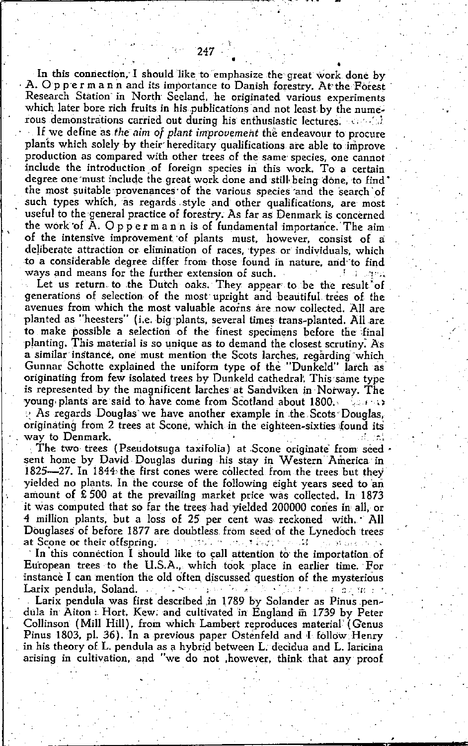In this connection, I should like to emphasize the great work done by A. Oppermann and its importance to Danish forestry. At the Forest Research Station in North Seeland, he originated various experiments which later bore rich fruits in his publications and not least by the numerous demonstrations carried out during his enthusiastic lectures. Careful

If we define as the aim of plant improvement the endeavour to procure plants which solely by their hereditary qualifications are able to improve production as compared with other trees of the same species, one cannot include the introduction of foreign species in this work. To a certain degree one must include the great work done and still being done, to find the most suitable provenances of the various species and the search of such types which, as regards style and other qualifications, are most useful to the general practice of forestry. As far as Denmark is concerned the work of A. Oppermann is of fundamental importance. The aim of the intensive improvement of plants must, however, consist of a deliberate attraction or elimination of races, types or individuals, which to a considerable degree differ from those found in nature, and to find ways and means for the further extension of such. di alcama

Let us return to the Dutch oaks. They appear to be the result of generations of selection of the most upright and beautiful trees of the avenues from which the most valuable acorns are now collected. All are planted as "heesters" (i.e. big plants, several times trans-planted. All are to make possible a selection of the finest specimens before the final planting. This material is so unique as to demand the closest scrutiny. As a similar instance, one must mention the Scots larches, regarding which Gunnar Schotte explained the uniform type of the "Dunkeld" larch as originating from few isolated trees by Dunkeld cathedral. This same type is represented by the magnificent larches at Sandviken in Norway. The young plants are said to have come from Scotland about 1800. لالا الدينية  $\odot$  As regards Douglas we have another example in the Scots Douglas. originating from 2 trees at Scone, which in the eighteen-sixties found its

way to Denmark. al rel The two trees (Pseudotsuga taxifolia) at Scone originate from seed sent home by David Douglas during his stay in Western America in 1825-27. In 1844 the first cones were collected from the trees but they yielded no plants. In the course of the following eight years seed to an amount of £500 at the prevailing market price was collected. In 1873 it was computed that so far the trees had yielded 200000 cones in all, or 4 million plants, but a loss of 25 per cent was reckoned with. All Douglases of before 1877 are doubtless from seed of the Lynedoch trees at Scone or their offspring. The first method for the Market of the

In this connection I should like to call attention to the importation of European trees to the U.S.A., which took place in earlier time. For instance I can mention the old often discussed question of the mysterious Larix pendula, Soland. of the company of the 2005年10月10日 10月10日 10月10日

Larix pendula was first described in 1789 by Solander as Pinus pendula in Aiton: Hort. Kew. and cultivated in England in 1739 by Peter Collinson (Mill Hill), from which Lambert reproduces material (Genus Pinus 1803, pl. 36). In a previous paper Ostenfeld and I follow Henry in his theory of L. pendula as a hybrid between L. decidua and L. laricina arising in cultivation, and "we do not , however, think that any proof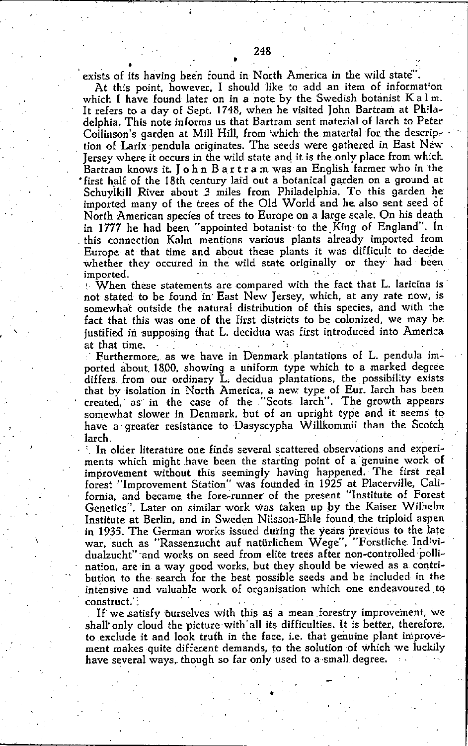exists of its having been found in North America in the wild statc".

At this point. however. I should like to add an item of informat'on which I have found later on in a note by the Swedish botanist K a l m. It refers to a day of Sept. 1748, when he visited John Bartram at Philadelphia. This note informs us that Bartram sent material of larch to Peter Collinson's garden at Mill Hill, from which the material for the description of Larix pendula originates. The seeds were gathered in East New Jersey where it occurs in the wild state and it is the only place from which Bartram knows it. joh n Bar tra m was an English farmer who in the • first half of the 18th century laid out a botanical garden. on a ground at Schuylkill River about 3 miles from Philadelphia. To this garden he imported many of the trees of the Old World and he also sent seed of North American species of trees to Europe on a large scale. On his death in 1777 he had been "appointed botanist to the King of England". In . this connection Kalm mentions various plants already imported from Europe at that time and about these plants it was difficult to decide whether they occured in the wild state originally or they had been **imported.** '

I, **When these statements are compared with the fact that L. Iaricina is·**  not stated to be found in' East New jersey. which. at any rate now. is somewhat outside the natural distribution of this species. and with the fact that this was one of the first districts to be colonized. we may be justified in supposing that L. decidua was first introduced into America at that time. . . . .

,

Furthermore. as we have in Denmark plantations of L. pendula imported about. 18.00. showing a uniform type which to a marked degree differs from our ordinary L. decidua plantations, the possibility exists that by isolation in North America. a new type of Eur. larch has been created. as in the case of the "Scots, lareh". The growth appears somewhat slower in Denmark, but of an upright type and it seems to have .a· greater resistànce to Dasyscypha WilIkommii than the Scotch larch.

In older literature one finds several scattered observations and experiments which might have been the starting point of a genuine work of improvement without this seemingly having happened. The first real forest"Improvement Station" was Eounded in 1925 at Placerville. California. and became the fare-runner of the present "Institute of Forest Genetics'. Later on similar work was taken up by the Kaiser Wilhelm Institute at Berlin. and in Sweden Nilsson-Ehle found, the triplaid aspen in 1935. The German works issued during the years previous to the late war. such as "Rassenzucht auf natürlichem Wege". "Forstliche Ind'vidualzucht" and works on seed from elite trees after non-controlled pollination. are in a way good works. but they should be viewed as a contribution to the search for the best possible seeds and be included in the **lntênsive and valuable work of organisation which one endeavoured tQ construct.'** ~ . \_ ,

If we satisfy burselves with this as a mean forestry improvement, we shall only cloud the picture with all its difficulties. It is better, therefore, to exclude it and look truth in the face, i.e. that genuine plant improvément makes quite different demands, to the solution of which we luckily have several ways, though so far only used to a small degree.

•

•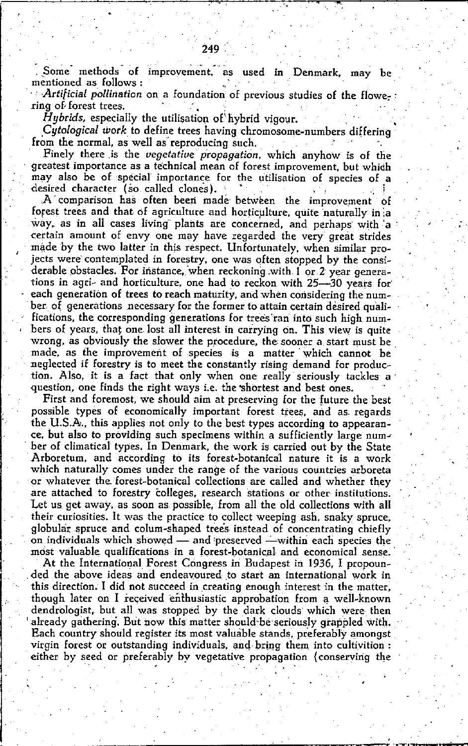Some methods of improvement, as used in Denmark, may be mentioned as follows:

Artificial pollination on a foundation of previous studies of the flowering of forest trees.

*Hybrids*, especially the utilisation of hybrid vigour.

Cutological work to define trees having chromosome-numbers differing from the normal, as well as reproducing such.

Finely there is the vegetative propagation, which anyhow is of the greatest importance as a technical mean of forest improvement, but which may also be of special importance for the utilisation of species of a desired character (so called clones).

A comparison has often been made between the improvement of forest trees and that of agriculture and horticulture, quite naturally in a way, as in all cases living plants are concerned, and perhaps with a certain amount of envy one may have regarded the very great strides made by the two latter in this respect. Unfortunately, when similar projects were contemplated in forestry, one was often stopped by the considerable obstacles. For instance, when reckoning with 1 or 2 year generations in agri- and horticulture, one had to reckon with 25-30 years for each generation of trees to reach maturity, and when considering the number of generations necessary for the former to attain certain desired qualifications, the corresponding generations for trees ran into such high numbers of years, that one lost all interest in carrying on. This view is quite wrong, as obviously the slower the procedure, the sooner a start must be made, as the improvement of species is a matter which cannot be neglected if forestry is to meet the constantly rising demand for production. Also, it is a fact that only when one really seriously tackles a question, one finds the right ways i.e. the shortest and best ones.

First and foremost, we should aim at preserving for the future the best possible types of economically important forest trees, and as regards the U.S.A., this applies not only to the best types according to appearance, but also to providing such specimens within a sufficiently large number of climatical types. In Denmark, the work is carried out by the State Arboretum, and according to its forest-botanical nature it is a work which naturally comes under the range of the various countries arboreta or whatever the forest-botanical collections are called and whether they are attached to forestry colleges, research stations or other institutions. Let us get away, as soon as possible, from all the old collections with all their curiosities. It was the practice to collect weeping ash, snaky spruce, globular spruce and colum-shaped trees instead of concentrating chiefly on individuals which showed — and preserved —within each species the most valuable qualifications in a forest-botanical and economical sense.

At the International Forest Congress in Budapest in 1936. I propounded the above ideas and endeavoured to start an international work in this direction. I did not succeed in creating enough interest in the matter, though later on I received enthusiastic approbation from a well-known dendrologist, but all was stopped by the dark clouds which were then already gathering. But now this matter should be seriously grappled with. Each country should register its most valuable stands, preferably amongst virgin forest or outstanding individuals, and bring them into cultivition : either by seed or preferably by vegetative propagation (conserving the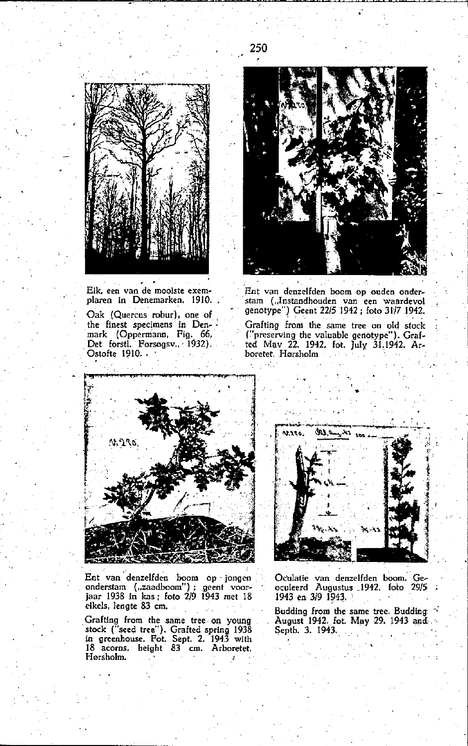

Eik, een van de mooiste exemplaren in Denemarken. 1910. Oak (Quercus robur), one of the finest specimens in Denmark (Oppermann, Fig. 66,<br>Det forsti. Forsøgsv., 1932). Ostofte 1910.



Ent van denzelfden boom op ouden onderstam ("Instandhouden van een waardevol genotype") Geent 22/5 1942 : foto 31/7 1942. Grafting from the same tree on old stock ("preserving the valuable genotype"). Graf-<br>ted May 22. 1942, fot. July 31.1942. Ar-

boretet Hørsholm and in s.



Ent van denzelfden boom op jongen onderstam ("zaadboom"); geent voor-<br>jaar 1938 in kas; foto 2/9 1943 met 18 eikels, lengte 83 cm.

Grafting from the same tree on young stock ("seed tree"). Grafted spring 1938 in greenhouse. Fot. Sept. 2. 1943 with 18 acorns, height 83 cm. Arboretet, Hørsholm.



Oculatie van denzelfden boom. Ge-<br>oculeerd Augustus 1942, foto 29/5<br>1943 en 3/9 1943.

Budding from the same tree. Budding.<br>August 1942, fot. May 29. 1943 and. Septb. 3. 1943.

250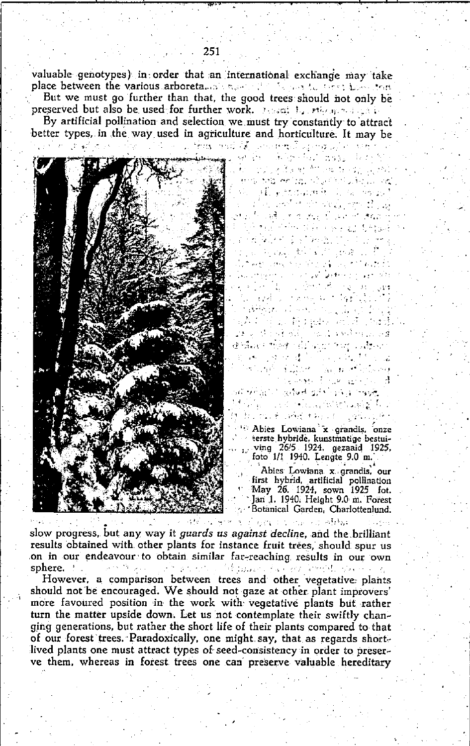valuable genotypes) in order that an international exchange may take place between the various arboretalism was not be the set of the plan row

But we must go further than that, the good trees should not only be preserved but also be used for further work. Present by missing and call-

By artificial pollination and selection we must try constantly to attract better types, in the way used in agriculture and horticulture. It may be



 $\alpha$  , where  $\alpha$  is a  $\alpha$  -mass  $\alpha$  -mass  $\alpha$ 4.5.1 年上 将到县 / 河洋 / 52d าเรียง (Mindredd) กันแปลดให้หม่เป็นได้<br>@Saver Beat กล้องเกม ระบุ แบลลงเก **ストール つきす** and the control i Live **Article** 2007 المتحافي فأرجاح ووسالية يغربوه والمواردة المواطنين  $\mathcal{F}^{\rm c}$  and  $\mathcal{F}^{\rm c}$ and the complete the specific form is.<br>Is more of which we all collects <sup>16</sup> Abies Lowiana x grandis, onze eerste hybride, kunstmatige bestuiving 26/5 1924. gezaaid 1925, foto 1/1 1940. Lengte 9.0 m.

 $-7.3311$ Gay for Albany ອາງມາກສຳອັດສະແດງໃນປະກວດໃຫ້ໄດ້ມີ ແລ al strought in a serie t de la formación de

ਿਰਜੀ ਵਿੱਚ ਤਾਜ਼ ਦੀ ਪੰਜਾਬੀ ਤੇਖਣ ਕੇ بسيروه روازي والموالد المهاد بالمناسب أبراءح

รายกัดของผู้ใช้เริงได้ กรุงเดียว เปลี่ยว<br>ไม่ที่คงขาวเหล่ากับ กลับกรุงการคงไป

En la Bertaka (egour

Southern Research

法实行者 网络的

والمعجلي كولي والرادان المتحومين

 $\mathcal{L}^{\text{max}}$ 

الرائح والمنا

ر<br>دانل

Abies Lowiana x grandis, our first hybrid, artificial pollination May 26. 1924, sown 1925 fot. Jan 1. 1940. Height 9.0 m. Forest 'Botanical Garden, Charlottenlund.

عوقراها والمراجي

slow progress, but any way it *guards us against decline*, and the brilliant results obtained with other plants for instance fruit trees, should spur us on in our endeavour to obtain similar far-reaching results in our own  $\mu$  the Marson . sphere. The Secretary of the secretary and the secretary

However, a comparison between trees and other vegetative plants should not be encouraged. We should not gaze at other plant improvers' more favoured position in the work with vegetative plants but rather turn the matter upside down. Let us not contemplate their swiftly changing generations, but rather the short life of their plants compared to that of our forest trees. Paradoxically, one might say, that as regards shortlived plants one must attract types of seed-consistency in order to preserve them, whereas in forest trees one can preserve valuable hereditary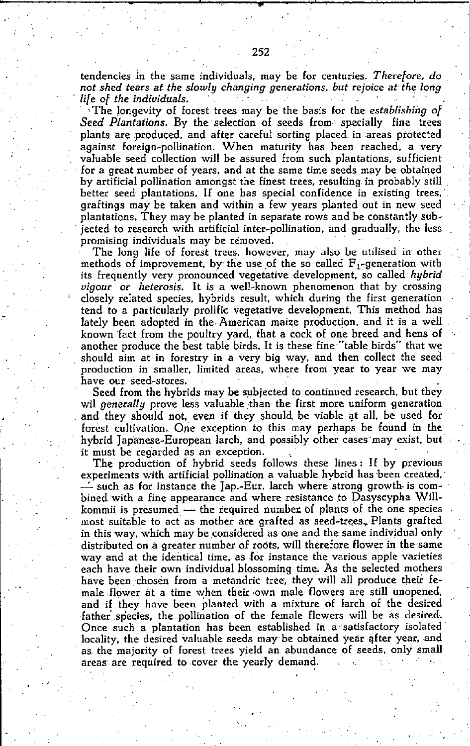**tendencies .in thc same individuals. may be for centuries.** *Therefore***l** *do not shed tears at the slowly changing generations. but rejoice at the long , life of the individuals. '* 

The longevity of forest trees may be the basis for the *establishing* of Seed Plantations. By the selection of seeds from specially fine trees plants are produced, and after careful sorting placed in areas protected against foreign-pollination. When maturity has been reached. a very valuable seed collection will be assured from such plantations. sufficient for a great number of years. and at the same time seeds may be obtained by artificial pollination amongst the finest trees. resulting in probably still . better seed plantations. lf one has special confidence in existing trees,' graftings may be taken and within a few years planted out in new seed plantations. They may be planted in separate rows and be constantly subjected to research with artificial inter-pollination. and gradually, the less promising individuals may be removed.

The long life of forest trees, however, may also be utilised in other methods of improvement, by the use of the so called  $F_1$ -generation with its frequently very pronounced vegetative development, so called, *hybrïd vigour* or *heterosis.* It is a well-known phenomenon that by crossing closely related species. hybrids result. which during the first generation tend to a particularly prolifie vegetative development. This method has lately been adopted in the. American maize production. and it is a weil known fact from the poultry yard, that a cock of one breed and hens of another produce the best table birds. It is these fine "table birds" that we should aim at in forestry in a very big way, and then collect the seed production in smaller, limited areas, where from year to year we may have our seed-stores.

Seed from the hybrids may be subjected to continued research. but they wil generally prove less valuable than the first more uniform generation and they should not, even if they should be viable at all, be used for forest cultivation., One exception to this may perhaps be found in the hybrid Japanese-European larch, and possibly other cases may exist, but it must be regarded as an exception.

The production of hybrid seeds follows these lines: If by previous experiments with artificial pollination a valuable hybrid has been created. - such as for instance the Jap.-Eur. larch where strong growth- is combined with a fine appearance and where resistance to Dasyscypha Willkommii is presumed  $-$  the required number of plants of the one species most suitable to act as mother are grafted as seed-trees. Plants grafted in this way, which may be considered as one and the same individual only distributed on a greater number of roots, will therefore flower in the same **way and at the identical time. as lor instanee the various apple varieties**  each have their own individual blossoming time. As the selected mothers have been chosèn from a metandric tree, they will all produce their female flower at a time when their own male flowers are still unopened. and if they have been planted with a mixture of larch of the desired father species, the pollination of the female flowers will be as desired. Once such a plantation has been established in a satisfactory isolated locality, the desired valuable seeds may be obtained year after year, and as the majority of forest trees yield an abundance of seeds. only small areas are required to cover the yearly demand.

**• ..**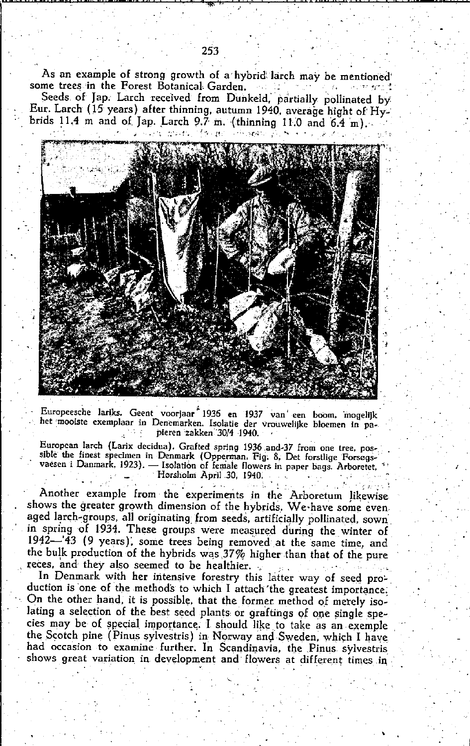As an example of strong growth of a hybrid larch may be mentioned some trees in the Forest Botanical Garden.  $\sigma$  and  $\sigma$ بالعيود معادات

Seeds of Jap. Larch received from Dunkeld, partially pollinated by Eur. Larch (15 years) after thinning, autumn 1940, average hight of Hybrids 11.4 m and of Jap. Larch 9.7 m. (thinning 11.0 and 6.4 m).



Europeesche lariks. Geent voorjaar 1936 en 1937 van een boom, mogelijk het mooiste exemplaar in Denemarken. Isolatie der vrouwelijke bloemen in pa-ू भारती pieren zakken 30/4 1940.

European larch (Larix decidua). Grafted spring 1936 and 37 from one tree, possible the finest specimen in Denmark (Opperman, Fig. 8, Det forstlige Forsøgsvaesen i Danmark, 1923). — Isolation of female flowers in paper bags. Arboretet, Hørsholm April 30, 1940.

Another example from the experiments in the Arboretum likewise shows the greater growth dimension of the hybrids. We have some even aged larch-groups, all originating from seeds, artificially pollinated, sown in spring of 1934. These groups were measured during the winter of 1942—'43 (9 years), some trees being removed at the same time, and the bulk production of the hybrids was  $37\%$  higher than that of the pure reces, and they also seemed to be healthier.

In Denmark with her intensive forestry this latter way of seed production is one of the methods to which I attach the greatest importance. On the other hand, it is possible, that the former method of merely isolating a selection of the best seed plants or graftings of one single species may be of special importance. I should like to take as an exemple the Scotch pine (Pinus sylvestris) in Norway and Sweden, which I have had occasion to examine further. In Scandinavia, the Pinus sylvestris shows great variation in development and flowers at different times in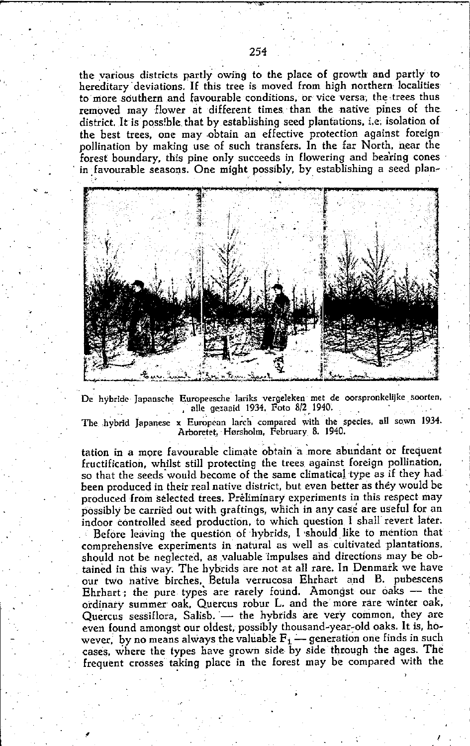the various districts partly owing to the place of growth and partly to hereditary deviations. If this tree is moved from high northern localities to more southern and favourable conditions, or vice versa, the trees thus removed may flower at different times than the native pines of the district. It is possible that by establishing seed plantations, i.e. isolation of the best trees, one may obtain an effective protection against foreign<br>pollination by making use of such transfers. In the far North, near the forest boundary, this pine only succeeds in flowering and bearing cones in favourable seasons. One might possibly, by establishing a seed plan-



De hybride Japansche Europeesche lariks vergeleken met de oorspronkelijke soorten, alle gezaaid 1934. Foto 8/2 1940.

The hybrid Japanese x European larch compared with the species, all sown 1934. Arboretet, Hørsholm, February 8. 1940.

tation in a more favourable climate obtain a more abundant or frequent fructification, whilst still protecting the trees against foreign pollination, so that the seeds would become of the same climatical type as if they had been produced in their real native district, but even better as they would be produced from selected trees. Preliminary experiments in this respect may possibly be carried out with graftings, which in any case are useful for an indoor controlled seed production, to which question I shall revert later. Before leaving the question of hybrids, I should like to mention that comprehensive experiments in natural as well as cultivated plantations. should not be neglected, as valuable impulses and directions may be obtained in this way. The hybrids are not at all rare. In Denmark we have our two native birches, Betula verrucosa Ehrhart and B. pubescens Ehrhart; the pure types are rarely found. Amongst our oaks - the ordinary summer oak, Quercus robur L. and the more rare winter oak, Quercus sessiflora, Salisb. - the hybrids are very common, they are even found amongst our oldest, possibly thousand-year-old oaks. It is, however, by no means always the valuable  $F_1$  — generation one finds in such cases, where the types have grown side by side through the ages. The frequent crosses taking place in the forest may be compared with the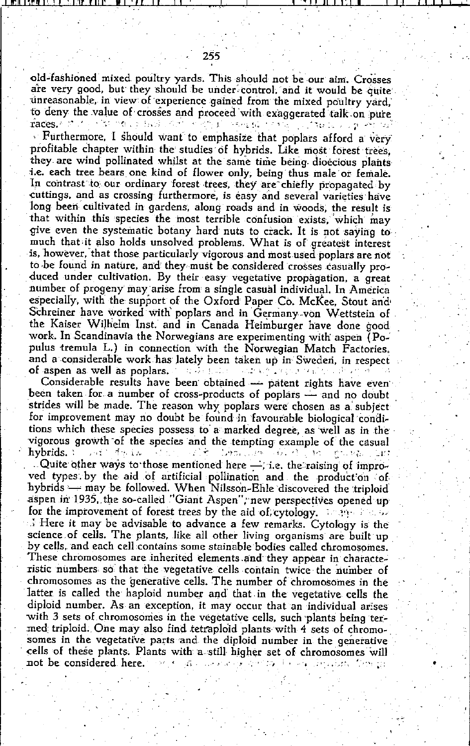· Furthermore, I should want to emphasize that poplars afford a very profitable chapter within the studies of hybrids. Like most forest trees, they are wind pollinated whilst at the same time being dioecious plants i.e. each tree bears one kind of flower only, being thus male or female. In contrast to our ordinary forest trees, they are chiefly propagated by cuttings, and as crossing furthermore, is easy and several varieties have long been cultivated in gardens, along roads and in woods, the result is that within this species the most terrible confusion exists, which may give even the systematic botany hard nuts to crack. It is not saying to much that it also holds unsolved problems. What is of greatest interest is, however, that those particularly vigorous and most used poplars are not to be found in nature, and they must be considered crosses casually produced under cultivation. By their easy vegetative propagation, a great number of progeny may arise from a single casual individual. In America especially, with the support of the Oxford Paper Co. McKee, Stout and Schreiner have worked with poplars and in Germany von Wettstein of the Kaiser Wilhelm Inst. and in Canada Heimburger have done good work. In Scandinavia the Norwegians are experimenting with aspen (Populus tremula L.) in connection with the Norwegian Match Factories. and a considerable work has lately been taken up in Sweden, in respect of aspen as well as poplars,  $\mathbb{R}^n$  and  $\mathbb{R}^n$ i sabat <sup>a b</sup>repsa realizo do

Considerable results have been obtained - patent rights have even been taken for a number of cross-products of poplars — and no doubt strides will be made. The reason why poplars were chosen as a subject for improvement may no doubt be found in favourable biological conditions which these species possess to a marked degree, as well as in the vigorous growth of the species and the tempting example of the casual hybrids.  $\mathcal{L}_{\mathrm{max}}$ 计锁定系统系统 alt Charles Waldin from the court

. Quite other ways to those mentioned here  $-$ , i.e. the raising of improved types by the aid of artificial pollination and the production of hybrids - may be followed. When Nilsson-Ehle discovered the triploid aspen in 1935, the so-called "Giant Aspen", new perspectives opened up for the improvement of forest trees by the aid of, cytology. The problem  $\therefore$  Here it may be advisable to advance a few remarks. Cytology is the science of cells. The plants, like all other living organisms are built up by cells, and each cell contains some stainable bodies called chromosomes. These chromosomes are inherited elements and they appear in characteristic numbers so that the vegetative cells contain twice the number of chromosomes as the generative cells. The number of chromosomes in the latter is called the haploid number and that in the vegetative cells the diploid number. As an exception, it may occur that an individual arises with 3 sets of chromosomes in the vegetative cells, such plants being termed triploid. One may also find tetraploid plants with 4 sets of chromosomes in the vegetative parts and the diploid number in the generative cells of these plants. Plants with a still higher set of chromosomes will not be considered here. 医异体素 网络亚目 فأرجى الواديانين  $\lambda$  or  $\mu$ Professor Services (Tree of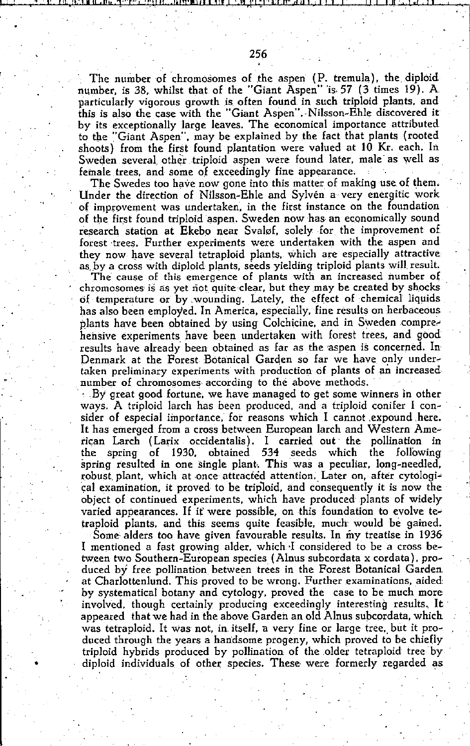The number of chromosomes of the aspen (P. tremula), the diploid number, is 38, whilst that of the "Giant Aspen" is 57 (3 times 19). A particularly vigorous growth is often found in such triploid plants, and this is also the case with the "Giant Aspen". Nilsson-Ehle discovered it by its exceptionally large leaves. The economieal importance attributed to the "Giant Aspen", may be explained by the fact that plants (rooted shoots) from the first found plantation were valued at 10 Kr. each. In Sweden several other triploid aspen were found later, male as well as lemale trees, and some of exceedingly fine appearance.

The Swedes too have now gone into this matter of making use of them. Under the direction of NiJsson-Ehle and Sylvén a very energitie work of improvement was undertaken', in the first instance on the foundation of the first found triploid aspen. Sweden now has an economically sound research station at Ekebo near Svaløf, solely for the improvement of forest trees. Further experiments were undertaken with the aspen and they now have several tetraploid plants, which are especially attractive as by a cross with diploid plants, seeds yielding triploid plants will result.

The cause of this emergence of plants with an increased number of chromosomes is as yet not quite clear, but they may be created by shocks of temperature or by wounding. Lately, the effect of chemical liquids has also been employed. In America, especially, fine results on herbaceous plants have been obtained by using Colchicine, and in Sweden comprehensive experiments have been undertaken with forest trees, and good results have already been obtained as far as the aspen is concerned. In Denmark at the Forest Botanical Garden so far we have only under**taken preliminary experiments' with production of plants of an increased·**  number of chromosomes according to the above methods.

 $\pm$  . By great good fortune, we have managed to get some winners in other ways. A triploid larch has been produced, and a triploid conifer I consider of especial importance, for reasons which I cannot expound here. It has emerged from a cross between European larch and Western Ameriean Larch (Larix occidentalis). I carried out· tbe pollination in tbe spring of 1930, obtained 534 seeds whieh the following spring resulted in one single plant. This was a peculiar, long-needled, robust plant, which at once attracted attention. Later on, after cytological examination, it proved to be triploid, and consequently it is now the object of continued experiments, which have produced plants of widely varied appearances. If if were possible, on this foundation to evolve tetraploid plants, and this seems quite feasible, much' would bè gained. Some alders too have given favourable results. In my treatise in 1936 I mentioned a fast growing alder, which I considered to be a cross between two Southern-European species (Alnus subcordata x cordata), produced by free pollination between trees in the Forest Botanical Garden at Charlottenlund. This proved to be wrong. Further examinations, aided by systematieal botany and cytology, proved the case to be much more involved, though certainly producing exceedingly interesting results. It appeared that we had in the above Garden an old Alnus subcordata, whieh was tetraploid. It was not, in itself, a very fine or large tree, but it produced through the years a handsome progeny, which proved to be chiefly triploid hybrids produced by pollination of the older tetraploid tree by diploid individuals of other species. These were formerly regarded as

, .,

•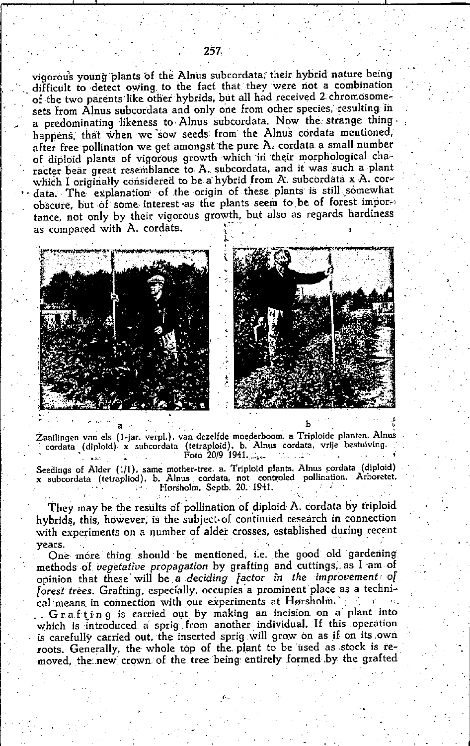vigorous young plants of the Alnus subcordata, their hybrid nature being difficult to detect owing to the fact that they were not a combination of the two parents like other hybrids, but all had received 2 chromosomesets from Alnus subcordata and only one from other species, resulting in a predominating likeness to Alnus subcordata. Now the strange thing happens, that when we sow seeds from the Alnus cordata mentioned, after free pollination we get amongst the pure A, cordata a small number of diploid plants of vigorous growth which in their morphological character bear great resemblance to A. subcordata, and it was such a plant which I originally considered to be a hybrid from A. subcordata x A. cordata. The explanation of the origin of these plants is still somewhat obscure, but of some interest as the plants seem to be of forest importance, not only by their vigorous growth, but also as regards hardiness as compared with A. cordata.





Zaailingen van els (1-jar. verpl.), van dezelfde moederboom. a Triploide planten, Alnus cordata (diploid) x subcordata (tetraploid). b. Alnus cordata, vrije bestuiving. Foto 20/9 1941.

Seedings of Alder (1/1), same mother-tree. a. Triploid plants. Alnus cordata (diploid) x subcordata (tetrapliod). b. Alnus cordata, not controled pollination. Arboretet,<br>Horsholm, Septb. 20. 1941.

They may be the results of pollination of diploid A. cordata by triploid hybrids, this, however, is the subject of continued research in connection with experiments on a number of alder crosses, established during recent vears.

One more thing should be mentioned, i.e. the good old gardening methods of vegetative propagation by grafting and cuttings, as I am of opinion that these will be a deciding factor in the improvement of forest trees. Grafting, especially, occupies a prominent place as a technical means in connection with our experiments at Hørsholm. Grafting is carried out by making an incision on a plant into which is introduced a sprig from another individual. If this operation is carefully carried out, the inserted sprig will grow on as if on its own roots. Generally, the whole top of the plant to be used as stock is removed, the new crown of the tree being entirely formed by the grafted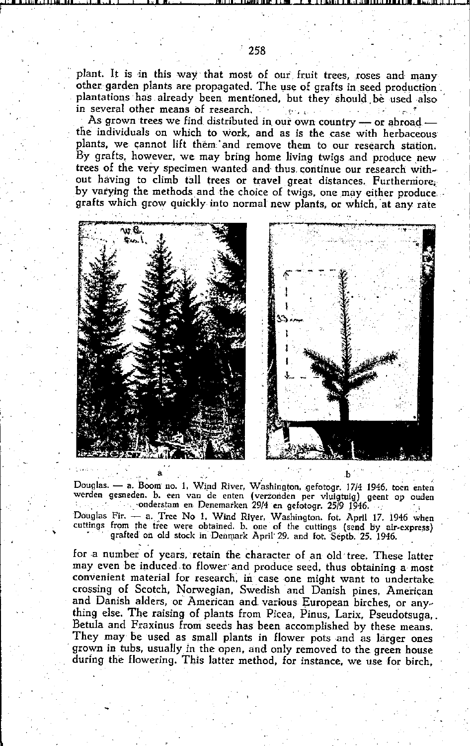plant. It is in this way that most of our fruit trees, roses and many other garden plants are propagated. The use of grafts in seed production. plantations has already been mentioned, but they should be used also in several other means of research. **Contractor** 

As grown trees we find distributed in our own country — or abroad the individuals on which to work, and as is the case with herbaceous plants, we cannot lift them and remove them to our research station. By grafts, however, we may bring home living twigs and produce new trees of the very specimen wanted and thus continue our research without having to climb tall trees or travel great distances. Furthermore. by varying the methods and the choice of twigs, one may either produce. grafts which grow quickly into normal new plants, or which, at any rate





Douglas. — a. Boom no. 1, Wind River, Washington, gefotogr. 17/4 1946, toen enten werden gesneden. b. een van de enten (verzonden per vluigtuig) geent op ouden state of the conderstam en Denemarken 29/4 en gefotogr. 25/9 1946. Douglas Fir. - a. Tree No 1. Wind River, Washington. fot. April 17. 1946 when cuttings from the tree were obtained. b. one of the cuttings (send by air-express)

grafted on old stock in Denmark April 29. and fot. Septb. 25. 1946.

for a number of years, retain the character of an old tree. These latter may even be induced to flower and produce seed, thus obtaining a most convenient material for research, in case one might want to undertake. crossing of Scotch, Norwegian, Swedish and Danish pines, American and Danish alders, or American and various European birches, or anything else. The raising of plants from Picea, Pinus, Larix, Pseudotsuga, Betula and Fraxinus from seeds has been accomplished by these means. They may be used as small plants in flower pots and as larger ones grown in tubs, usually in the open, and only removed to the green house during the flowering. This latter method, for instance, we use for birch,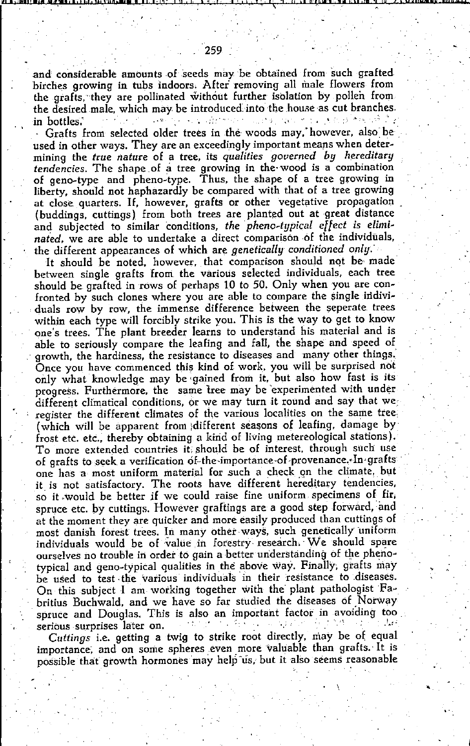and considerable amounts of seeds may be obtained from such grafted birches growing in tubs indoors. After removing all male flowers from the grafts, they are pollinated without further isolation by pollen from the desired male, which may be introduced into the house as cut branches. مال أو من الأمريكية أو التي تعالى المعروفين المعروفين المعروفين المعروفين المعروفين المعروفين in hottles.

Grafts from selected older trees in the woods may. however, also be used in other ways. They are an exceedingly important means when determining the true nature of a tree, its qualities governed by hereditary tendencies. The shape of a tree growing in the wood is a combination of geno-type and pheno-type. Thus, the shape of a tree growing in liberty, should not haphazardly be compared with that of a tree growing at close quarters. If, however, grafts or other vegetative propagation (buddings, cuttings) from both trees are planted out at great distance and subjected to similar conditions, the pheno-tupical effect is eliminated, we are able to undertake a direct comparison of the individuals. the different appearances of which are genetically conditioned only.

It should be noted, however, that comparison should not be made between single grafts from the various selected individuals, each tree should be grafted in rows of perhaps 10 to 50. Only when you are confronted by such clones where you are able to compare the single individuals row by row, the immense difference between the seperate trees within each type will forcibly strike you. This is the way to get to know one's trees. The plant breeder learns to understand his material and is able to seriously compare the leafing and fall, the shape and speed of growth, the hardiness, the resistance to diseases and many other things. Once you have commenced this kind of work, you will be surprised not only what knowledge may be gained from it, but also how fast is its progress. Furthermore, the same tree may be experimented with underdifferent climatical conditions, or we may turn it round and say that we register the different climates of the various localities on the same tree. (which will be apparent from different seasons of leafing, damage by frost etc. etc., thereby obtaining a kind of living metereological stations). To more extended countries it should be of interest, through such use of grafts to seek a verification of-the-importance-of-provenance. In grafts one has a most uniform material for such a check on the climate, but it is not satisfactory. The roots have different hereditary tendencies, so it would be better if we could raise fine uniform specimens of fir, spruce etc. by cuttings. However graftings are a good step forward, and at the moment they are quicker and more easily produced than cuttings of most danish forest trees. In many other ways, such genetically uniform individuals would be of value in forestry research. We should spare ourselves no trouble in order to gain a better understanding of the phenotypical and geno-typical qualities in the above way. Finally, grafts may be used to test the various individuals in their resistance to diseases. On this subject I am working together with the plant pathologist Fabritius Buchwald, and we have so far studied the diseases of Norway spruce and Douglas. This is also an important factor in avoiding too المتوارد والمراجع ديرا 计数字符 serious surprises later on.  $\mathcal{N} \subset \mathcal{N}$ 

Cuttings i.e. getting a twig to strike root directly, may be of equal importance, and on some spheres even more valuable than grafts. It is possible that growth hormones may help us, but it also seems reasonable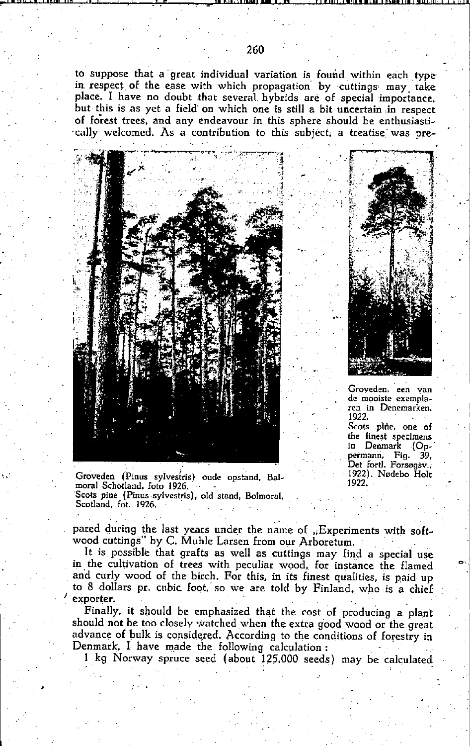to suppose that a great individual variation is found within each type in respect of the ease with which propagation by cuttings may take place. I have no doubt that several hybrids are of special importance, but this is as yet a field on which one is still a bit uncertain in respect of forest trees, and any endeavour in this sphere should be enthusiastically welcomed. As a contribution to this subject, a treatise was pre-



Groveden, een van de mooiste exemplaren in Denemarken. 1922. Scots pine, one of

the finest specimens in Denmark (Oppermann. Fig. 39. Det fortl. Forsøgsv.. 1922). Nødebo Holt 1922.

Groveden (Pinus sylvestris) oude opstand, Balmoral Schotland, foto 1926. Scots pine (Pinus sylvestris), old stand, Bolmoral, Scotland, fot. 1926.

pared during the last years under the name of "Experiments with softwood cuttings" by C. Muhle Larsen from our Arboretum.

It is possible that grafts as well as cuttings may find a special use in the cultivation of trees with peculiar wood, for instance the flamed and curly wood of the birch. For this, in its finest qualities, is paid up to 8 dollars pr. cubic foot, so we are told by Finland, who is a chief exporter.

Finally, it should be emphasized that the cost of producing a plant should not be too closely watched when the extra good wood or the great advance of bulk is considered. According to the conditions of forestry in Denmark. I have made the following calculation:

1 kg Norway spruce seed (about 125,000 seeds) may be calculated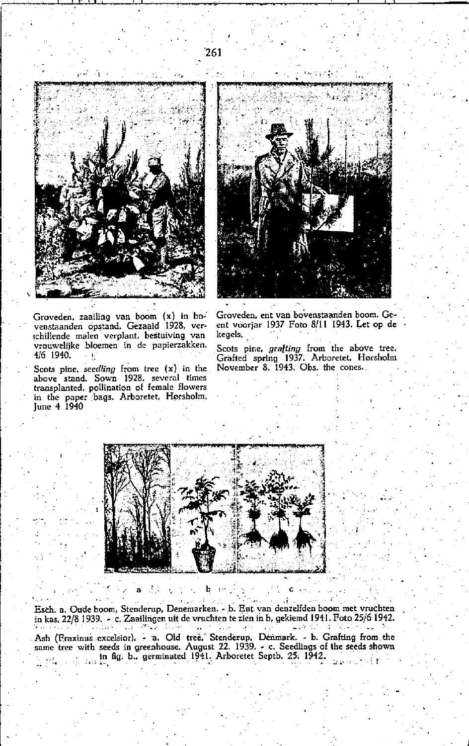

Groveden, zaailing van boom (x) in bovenstaanden opstand. Gezaaid 1928, verschillende malen verplant, bestuiving van vrouwelijke bloemen in de papierzakken. 4/6 1940.

Scots pine, seedling from tree  $(x)$  in the above stand. Sown 1928, several times transplanted, pollination of female flowers in the paper bags. Arboretet, Hørsholm,<br>June 4 1940

 $\mathbf{a}$ 

÷,

Groveden, ent van bovenstaanden boom. Geent voorjar 1937 Foto 8/11 1943. Let op de kegels.

Scots pine, grafting from the above tree.<br>Grafted spring 1937. Arboretet, Hørsholm November 8. 1943. Obs. the cones.



Esch. a. Oude boom, Stenderup, Denemarken. - b. Ent van denzelfden boom met vruchten in kas, 22/8 1939. - c. Zaailingen uit de vruchten te zien in b. gekiemd 1941. Foto 25/6 1942. **SAN DIE**  $\mathcal{A}^{(1)}$  :  $\omega\left(\cdot\right)$ 

b

 $\overline{a}$ 

Ash (Fraxinus excelsior) - a. Old tree. Stenderup, Denmark. - b. Grafting from the same tree with seeds in greenhouse, August 22. 1939. - c. Seedlings of the seeds shown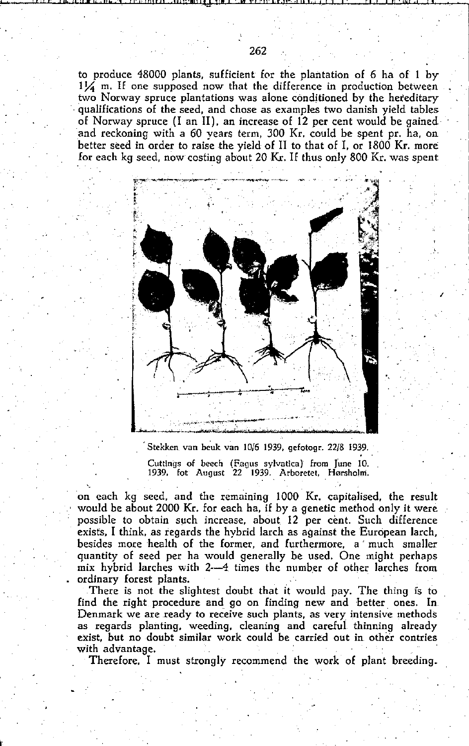to produce  $48000$  plants, sufficient for the plantation of 6 ha of 1 by  $1\frac{1}{4}$  m. If one supposed now that the difference in production between two Norway spruce plantations was alone conditioned by the hereditary . qualifications of the seed, and chose as examples two danish yield tables of Norway spruce (I an lIl, an increase of 12 per cent would be gained and reckoning with a 60 years term, 300 Kr. could be spent pr. ha, on better seed in order to raise the yield of II to that of I, or 1800 Kr. more for each kg seed, now casting about 20 Kr. IE thus only 800 Kr. was spent



I

**Stekken van beuk van 10/6 1939. gefotogr. 22/8 1939. Cuttlngs of beech (Fagus sylvatica) Erom Tune 10. 1939. fot August 22 1939. Arboretet. Hersholm.** 

on each kg seed, and the remaining 1000 Kr. capitalised, the result would be about 2000 Kr. for each ha, if by a genetic methad only it were possible to obtain such increase, about. 12 per cènt. Such difference exists, I think, as regards the hybrid larch as against the European larch, besides more health of the farmer, and furthermore, a' much smaller quantity of seed per ha would generally be used. One might perhaps mix hybrid larches with 2--4 times the number of other larches from ordinary forest plants.

There is not the slightest doubt that it would pay. The thing is to find the right procedure and go on finding new and better ones. In **Denmark we are ready to receive such plants, as very intensive methods** as regards planting, weeding, cIeaning and careful thinning already **exist, but no doubt similar work could be carried out in. other contries**  with advantage.

Therefore, I must strongly recommend the work of plant breeding\_